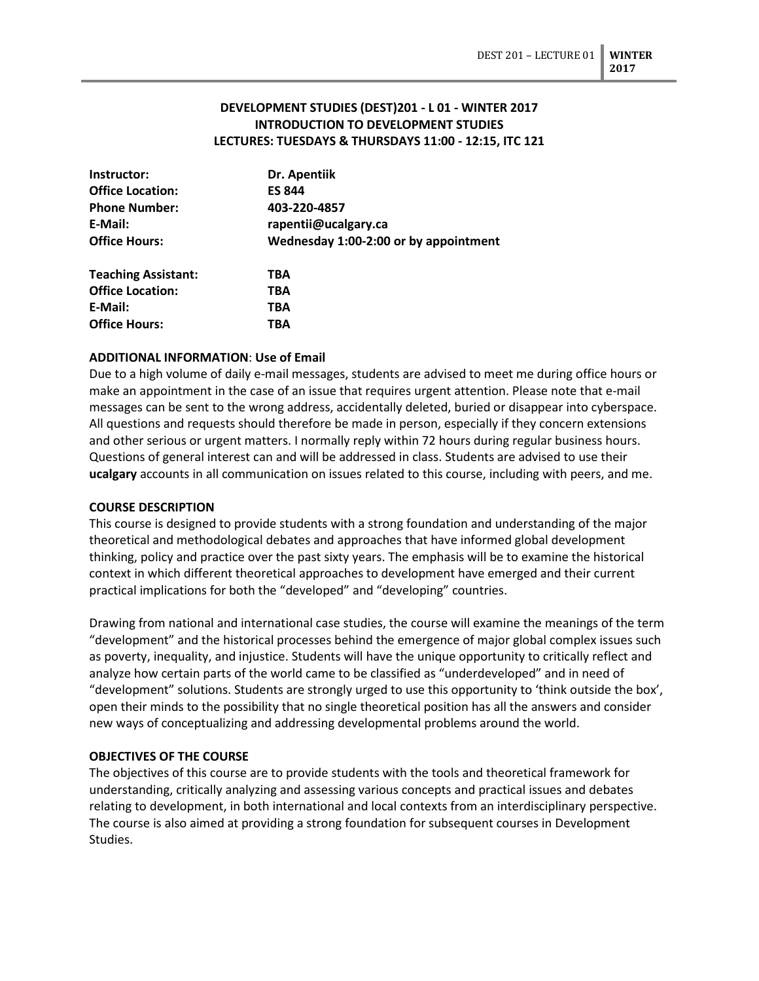# **DEVELOPMENT STUDIES (DEST)201 - L 01 - WINTER 2017 INTRODUCTION TO DEVELOPMENT STUDIES LECTURES: TUESDAYS & THURSDAYS 11:00 - 12:15, ITC 121**

| Instructor:                | Dr. Apentiik                          |  |  |
|----------------------------|---------------------------------------|--|--|
| <b>Office Location:</b>    | <b>ES 844</b>                         |  |  |
| <b>Phone Number:</b>       | 403-220-4857                          |  |  |
| E-Mail:                    | rapentii@ucalgary.ca                  |  |  |
| <b>Office Hours:</b>       | Wednesday 1:00-2:00 or by appointment |  |  |
| <b>Teaching Assistant:</b> | TBA                                   |  |  |
| <b>Office Location:</b>    | TBA                                   |  |  |
| E-Mail:                    | TBA                                   |  |  |
| <b>Office Hours:</b>       | ТВА                                   |  |  |

### **ADDITIONAL INFORMATION**: **Use of Email**

Due to a high volume of daily e-mail messages, students are advised to meet me during office hours or make an appointment in the case of an issue that requires urgent attention. Please note that e-mail messages can be sent to the wrong address, accidentally deleted, buried or disappear into cyberspace. All questions and requests should therefore be made in person, especially if they concern extensions and other serious or urgent matters. I normally reply within 72 hours during regular business hours. Questions of general interest can and will be addressed in class. Students are advised to use their **ucalgary** accounts in all communication on issues related to this course, including with peers, and me.

### **COURSE DESCRIPTION**

This course is designed to provide students with a strong foundation and understanding of the major theoretical and methodological debates and approaches that have informed global development thinking, policy and practice over the past sixty years. The emphasis will be to examine the historical context in which different theoretical approaches to development have emerged and their current practical implications for both the "developed" and "developing" countries.

Drawing from national and international case studies, the course will examine the meanings of the term "development" and the historical processes behind the emergence of major global complex issues such as poverty, inequality, and injustice. Students will have the unique opportunity to critically reflect and analyze how certain parts of the world came to be classified as "underdeveloped" and in need of "development" solutions. Students are strongly urged to use this opportunity to 'think outside the box', open their minds to the possibility that no single theoretical position has all the answers and consider new ways of conceptualizing and addressing developmental problems around the world.

### **OBJECTIVES OF THE COURSE**

The objectives of this course are to provide students with the tools and theoretical framework for understanding, critically analyzing and assessing various concepts and practical issues and debates relating to development, in both international and local contexts from an interdisciplinary perspective. The course is also aimed at providing a strong foundation for subsequent courses in Development Studies.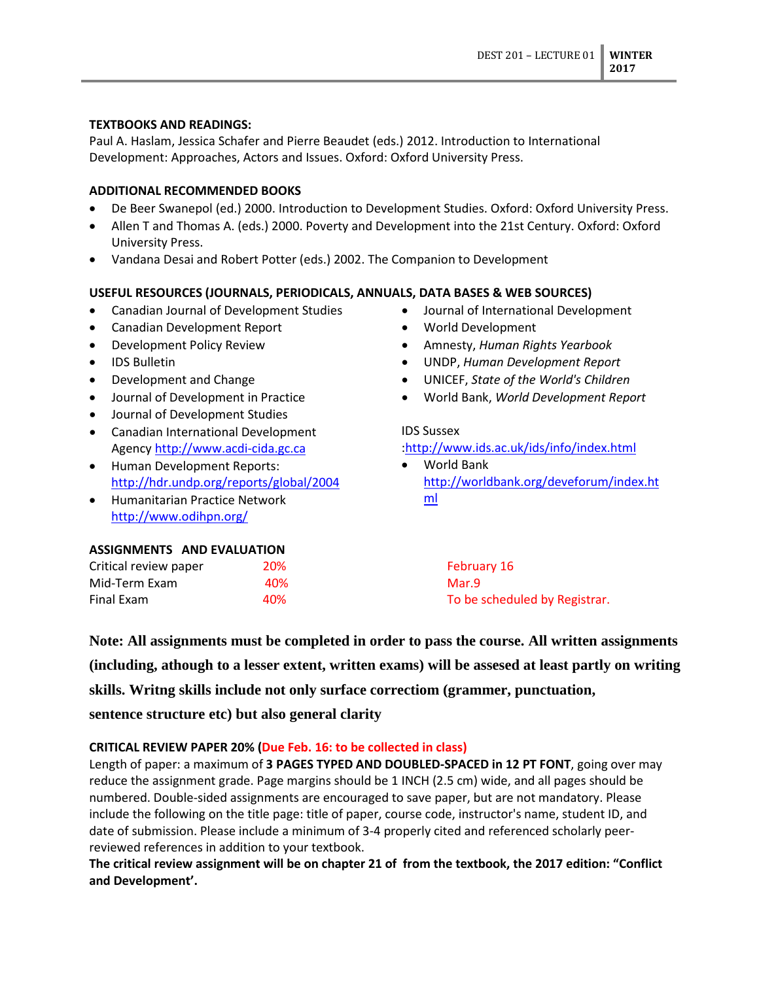### **TEXTBOOKS AND READINGS:**

Paul A. Haslam, Jessica Schafer and Pierre Beaudet (eds.) 2012. Introduction to International Development: Approaches, Actors and Issues. Oxford: Oxford University Press.

### **ADDITIONAL RECOMMENDED BOOKS**

- De Beer Swanepol (ed.) 2000. Introduction to Development Studies. Oxford: Oxford University Press.
- Allen T and Thomas A. (eds.) 2000. Poverty and Development into the 21st Century. Oxford: Oxford University Press.
- Vandana Desai and Robert Potter (eds.) 2002. The Companion to Development

### **USEFUL RESOURCES (JOURNALS, PERIODICALS, ANNUALS, DATA BASES & WEB SOURCES)**

- Canadian Journal of Development Studies
- Canadian Development Report
- Development Policy Review
- IDS Bulletin
- Development and Change
- Journal of Development in Practice
- Journal of Development Studies
- Canadian International Development Agency [http://www.acdi-cida.gc.ca](http://www.acdi-cida.gc.ca/)
- Human Development Reports: <http://hdr.undp.org/reports/global/2004>
- Humanitarian Practice Network <http://www.odihpn.org/>
- Journal of International Development • World Development
- Amnesty, *Human Rights Yearbook*
- UNDP, *Human Development Report*
- UNICEF, *State of the World's Children*
- World Bank, *World Development Report*

### IDS Sussex

#### [:http://www.ids.ac.uk/ids/info/index.html](http://www.ids.ac.uk/ids/info/index.html)

• World Bank [http://worldbank.org/deveforum/index.ht](http://worldbank.org/deveforum/index.html) [ml](http://worldbank.org/deveforum/index.html)

### **ASSIGNMENTS AND EVALUATION**

| Critical review paper | 20% | February 16                   |
|-----------------------|-----|-------------------------------|
| Mid-Term Exam         | 40% | Mar.9                         |
| Final Exam            | 40% | To be scheduled by Registrar. |

**Note: All assignments must be completed in order to pass the course. All written assignments (including, athough to a lesser extent, written exams) will be assesed at least partly on writing skills. Writng skills include not only surface correctiom (grammer, punctuation, sentence structure etc) but also general clarity**

### **CRITICAL REVIEW PAPER 20% (Due Feb. 16: to be collected in class)**

Length of paper: a maximum of **3 PAGES TYPED AND DOUBLED-SPACED in 12 PT FONT**, going over may reduce the assignment grade. Page margins should be 1 INCH (2.5 cm) wide, and all pages should be numbered. Double-sided assignments are encouraged to save paper, but are not mandatory. Please include the following on the title page: title of paper, course code, instructor's name, student ID, and date of submission. Please include a minimum of 3-4 properly cited and referenced scholarly peerreviewed references in addition to your textbook.

**The critical review assignment will be on chapter 21 of from the textbook, the 2017 edition: "Conflict and Development'.**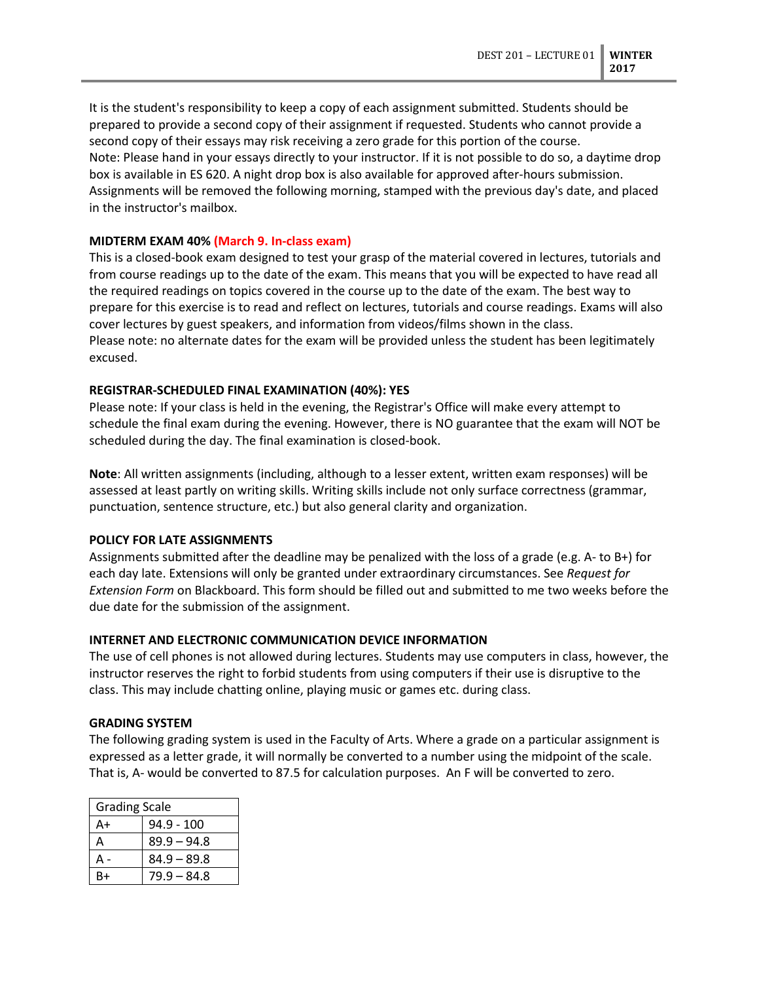It is the student's responsibility to keep a copy of each assignment submitted. Students should be prepared to provide a second copy of their assignment if requested. Students who cannot provide a second copy of their essays may risk receiving a zero grade for this portion of the course. Note: Please hand in your essays directly to your instructor. If it is not possible to do so, a daytime drop box is available in ES 620. A night drop box is also available for approved after-hours submission. Assignments will be removed the following morning, stamped with the previous day's date, and placed in the instructor's mailbox.

### **MIDTERM EXAM 40% (March 9. In-class exam)**

This is a closed-book exam designed to test your grasp of the material covered in lectures, tutorials and from course readings up to the date of the exam. This means that you will be expected to have read all the required readings on topics covered in the course up to the date of the exam. The best way to prepare for this exercise is to read and reflect on lectures, tutorials and course readings. Exams will also cover lectures by guest speakers, and information from videos/films shown in the class. Please note: no alternate dates for the exam will be provided unless the student has been legitimately excused.

### **REGISTRAR-SCHEDULED FINAL EXAMINATION (40%): YES**

Please note: If your class is held in the evening, the Registrar's Office will make every attempt to schedule the final exam during the evening. However, there is NO guarantee that the exam will NOT be scheduled during the day. The final examination is closed-book.

**Note**: All written assignments (including, although to a lesser extent, written exam responses) will be assessed at least partly on writing skills. Writing skills include not only surface correctness (grammar, punctuation, sentence structure, etc.) but also general clarity and organization.

# **POLICY FOR LATE ASSIGNMENTS**

Assignments submitted after the deadline may be penalized with the loss of a grade (e.g. A- to B+) for each day late. Extensions will only be granted under extraordinary circumstances. See *Request for Extension Form* on Blackboard. This form should be filled out and submitted to me two weeks before the due date for the submission of the assignment.

# **INTERNET AND ELECTRONIC COMMUNICATION DEVICE INFORMATION**

The use of cell phones is not allowed during lectures. Students may use computers in class, however, the instructor reserves the right to forbid students from using computers if their use is disruptive to the class. This may include chatting online, playing music or games etc. during class.

### **GRADING SYSTEM**

The following grading system is used in the Faculty of Arts. Where a grade on a particular assignment is expressed as a letter grade, it will normally be converted to a number using the midpoint of the scale. That is, A- would be converted to 87.5 for calculation purposes. An F will be converted to zero.

| <b>Grading Scale</b> |               |  |
|----------------------|---------------|--|
| A+                   | $94.9 - 100$  |  |
| А                    | $89.9 - 94.8$ |  |
| А-                   | $84.9 - 89.8$ |  |
| R+                   | $79.9 - 84.8$ |  |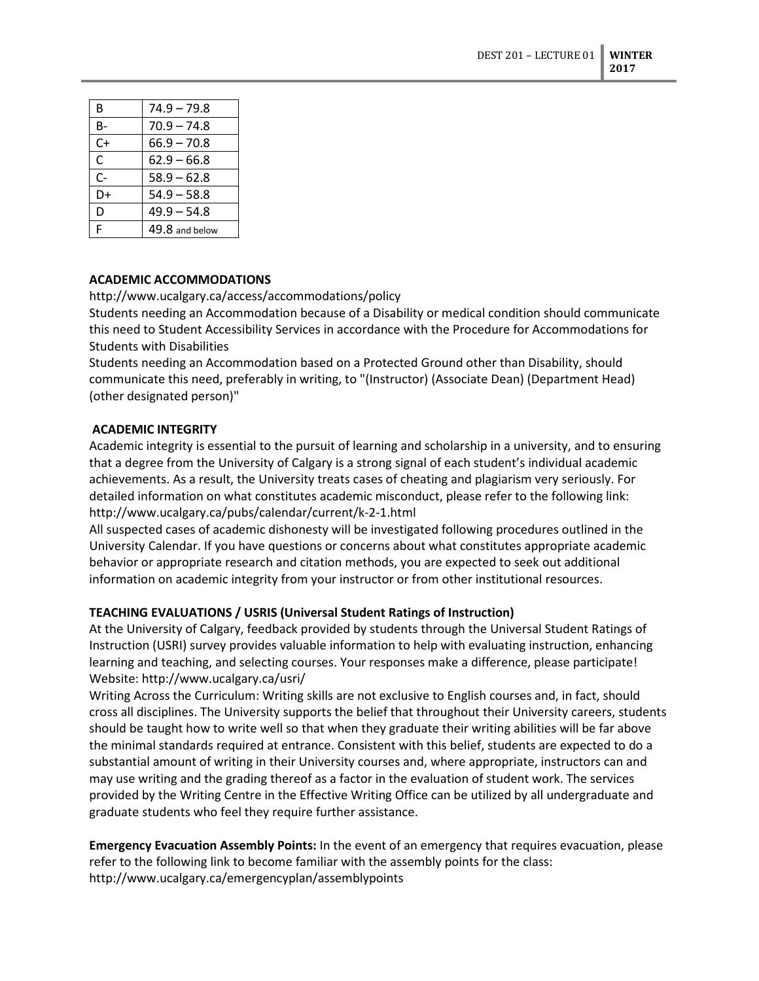| B     | $74.9 - 79.8$  |
|-------|----------------|
| $B -$ | $70.9 - 74.8$  |
| C+    | $66.9 - 70.8$  |
| C     | $62.9 - 66.8$  |
| $C-$  | $58.9 - 62.8$  |
| D+    | $54.9 - 58.8$  |
| D     | $49.9 - 54.8$  |
| F     | 49.8 and below |

# **ACADEMIC ACCOMMODATIONS**

### http://www.ucalgary.ca/access/accommodations/policy

Students needing an Accommodation because of a Disability or medical condition should communicate this need to Student Accessibility Services in accordance with the Procedure for Accommodations for Students with Disabilities

Students needing an Accommodation based on a Protected Ground other than Disability, should communicate this need, preferably in writing, to "(Instructor) (Associate Dean) (Department Head) (other designated person)"

### **ACADEMIC INTEGRITY**

Academic integrity is essential to the pursuit of learning and scholarship in a university, and to ensuring that a degree from the University of Calgary is a strong signal of each student's individual academic achievements. As a result, the University treats cases of cheating and plagiarism very seriously. For detailed information on what constitutes academic misconduct, please refer to the following link: http://www.ucalgary.ca/pubs/calendar/current/k-2-1.html

All suspected cases of academic dishonesty will be investigated following procedures outlined in the University Calendar. If you have questions or concerns about what constitutes appropriate academic behavior or appropriate research and citation methods, you are expected to seek out additional information on academic integrity from your instructor or from other institutional resources.

### **TEACHING EVALUATIONS / USRIS (Universal Student Ratings of Instruction)**

At the University of Calgary, feedback provided by students through the Universal Student Ratings of Instruction (USRI) survey provides valuable information to help with evaluating instruction, enhancing learning and teaching, and selecting courses. Your responses make a difference, please participate! Website: http://www.ucalgary.ca/usri/

Writing Across the Curriculum: Writing skills are not exclusive to English courses and, in fact, should cross all disciplines. The University supports the belief that throughout their University careers, students should be taught how to write well so that when they graduate their writing abilities will be far above the minimal standards required at entrance. Consistent with this belief, students are expected to do a substantial amount of writing in their University courses and, where appropriate, instructors can and may use writing and the grading thereof as a factor in the evaluation of student work. The services provided by the Writing Centre in the Effective Writing Office can be utilized by all undergraduate and graduate students who feel they require further assistance.

**Emergency Evacuation Assembly Points:** In the event of an emergency that requires evacuation, please refer to the following link to become familiar with the assembly points for the class: http://www.ucalgary.ca/emergencyplan/assemblypoints